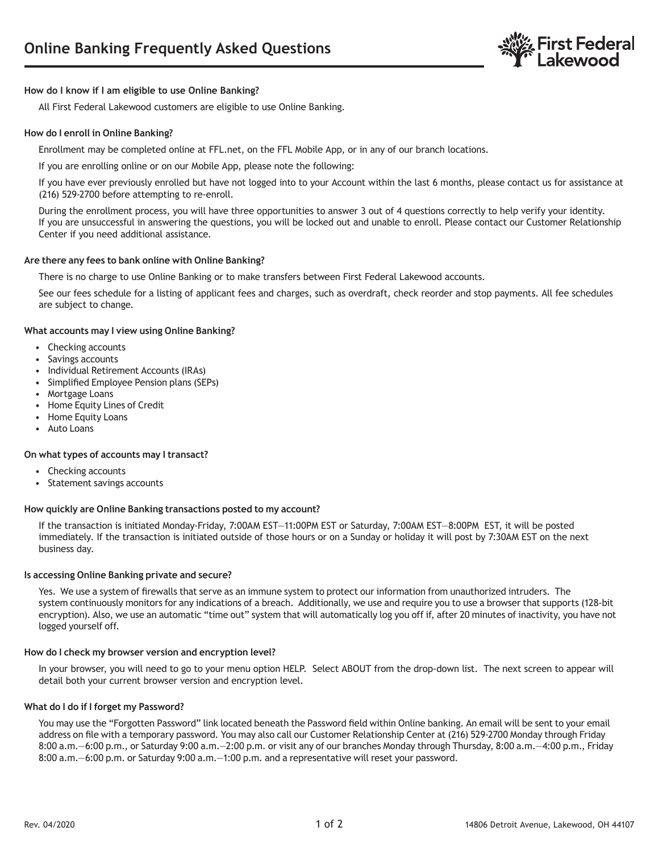

# **How do I know if I am eligible to use Online Banking?**

All First Federal Lakewood customers are eligible to use Online Banking.

# **How do I enroll in Online Banking?**

Enrollment may be completed online at FFL.net, on the FFL Mobile App, or in any of our branch locations.

If you are enrolling online or on our Mobile App, please note the following:

If you have ever previously enrolled but have not logged into to your Account within the last 6 months, please contact us for assistance at (216) 529-2700 before attempting to re-enroll.

During the enrollment process, you will have three opportunities to answer 3 out of 4 questions correctly to help verify your identity. If you are unsuccessful in answering the questions, you will be locked out and unable to enroll. Please contact our Customer Relationship Center if you need additional assistance.

### **Are there any fees to bank online with Online Banking?**

There is no charge to use Online Banking or to make transfers between First Federal Lakewood accounts.

See our fees schedule for a listing of applicant fees and charges, such as overdraft, check reorder and stop payments. All fee schedules are subject to change.

#### **What accounts may I view using Online Banking?**

- Checking accounts
- Savings accounts
- Individual Retirement Accounts (IRAs)
- Simplified Employee Pension plans (SEPs)
- Mortgage Loans
- Home Equity Lines of Credit
- Home Equity Loans
- Auto Loans

### **On what types of accounts may I transact?**

- Checking accounts
- Statement savings accounts

### **How quickly are Online Banking transactions posted to my account?**

If the transaction is initiated Monday-Friday, 7:00AM EST—11:00PM EST or Saturday, 7:00AM EST—8:00PM EST, it will be posted immediately. If the transaction is initiated outside of those hours or on a Sunday or holiday it will post by 7:30AM EST on the next business day.

### **Is accessing Online Banking private and secure?**

Yes. We use a system of firewalls that serve as an immune system to protect our information from unauthorized intruders. The system continuously monitors for any indications of a breach. Additionally, we use and require you to use a browser that supports (128-bit encryption). Also, we use an automatic "time out" system that will automatically log you off if, after 20 minutes of inactivity, you have not logged yourself off.

#### **How do I check my browser version and encryption level?**

In your browser, you will need to go to your menu option HELP. Select ABOUT from the drop-down list. The next screen to appear will detail both your current browser version and encryption level.

### **What do I do if I forget my Password?**

You may use the "Forgotten Password" link located beneath the Password field within Online banking. An email will be sent to your email address on file with a temporary password. You may also call our Customer Relationship Center at (216) 529-2700 Monday through Friday 8:00 a.m.—6:00 p.m., or Saturday 9:00 a.m.—2:00 p.m. or visit any of our branches Monday through Thursday, 8:00 a.m.—4:00 p.m., Friday 8:00 a.m.—6:00 p.m. or Saturday 9:00 a.m.—1:00 p.m. and a representative will reset your password.